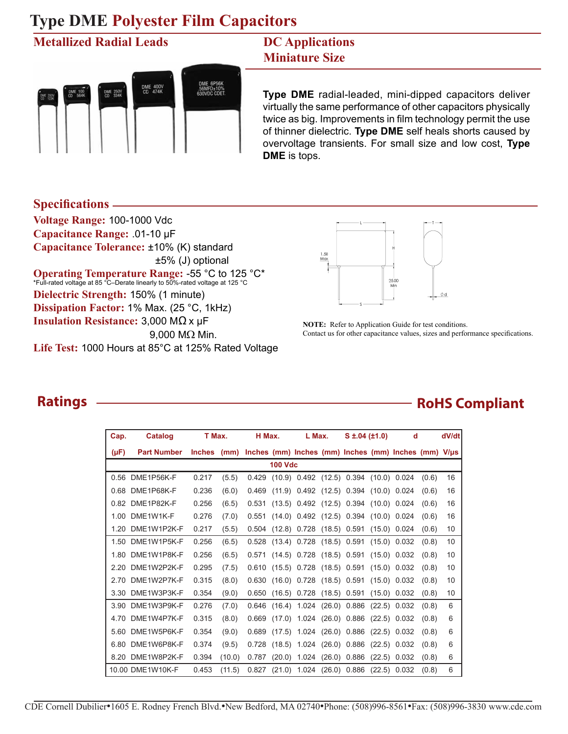#### **Metallized Radial Leads**



#### **DC Applications Miniature Size**

**Type DME** radial-leaded, mini-dipped capacitors deliver virtually the same performance of other capacitors physically twice as big. Improvements in film technology permit the use of thinner dielectric. **Type DME** self heals shorts caused by overvoltage transients. For small size and low cost, **Type DME** is tops.

**Specifications**

**Voltage Range:** 100-1000 Vdc **Capacitance Range:** .01-10 µF **Capacitance Tolerance:** ±10% (K) standard ±5% (J) optional **Operating Temperature Range: -55 °C to 125 °C\***<br>\*Full-rated voltage at 85 °C–Derate linearly to 50%-rated voltage at 125 °C **Dielectric Strength:** 150% (1 minute) **Dissipation Factor:** 1% Max. (25 °C, 1kHz) **Insulation Resistance:** 3,000 MΩ x µF 9,000 MΩ Min. **Life Test:** 1000 Hours at 85°C at 125% Rated Voltage



**NOTE:** Refer to Application Guide for test conditions. Contact us for other capacitance values, sizes and performance specifications.

### **Ratings**

| Cap.      | Catalog            | T Max.        |        | H Max. |        | L Max.             |                | $S \pm .04$ ( $\pm 1.0$ )              |        | d                                                         |       | dV/dt |  |
|-----------|--------------------|---------------|--------|--------|--------|--------------------|----------------|----------------------------------------|--------|-----------------------------------------------------------|-------|-------|--|
| $(\mu F)$ | <b>Part Number</b> | <b>Inches</b> | (mm)   |        |        |                    |                |                                        |        | Inches (mm) Inches (mm) Inches (mm) Inches (mm) $V/\mu s$ |       |       |  |
|           | <b>100 Vdc</b>     |               |        |        |        |                    |                |                                        |        |                                                           |       |       |  |
| 0.56      | DME1P56K-F         | 0.217         | (5.5)  | 0.429  |        |                    |                | (10.9) 0.492 (12.5) 0.394 (10.0) 0.024 |        |                                                           | (0.6) | 16    |  |
| 0.68      | DME1P68K-F         | 0.236         | (6.0)  | 0.469  | (11.9) |                    |                | $0.492$ (12.5) 0.394                   |        | (10.0) 0.024                                              | (0.6) | 16    |  |
| 0.82      | DME1P82K-F         | 0.256         | (6.5)  | 0.531  |        |                    |                | $(13.5)$ 0.492 $(12.5)$ 0.394          |        | (10.0) 0.024                                              | (0.6) | 16    |  |
| 1.00      | DME1W1K-F          | 0.276         | (7.0)  | 0.551  | (14.0) | 0.492              |                | $(12.5)$ 0.394                         |        | (10.0) 0.024                                              | (0.6) | 16    |  |
| 1.20      | DME1W1P2K-F        | 0.217         | (5.5)  | 0.504  | (12.8) | 0.728              | (18.5)         | 0.591                                  | (15.0) | 0.024                                                     | (0.6) | 10    |  |
| 1.50      | DME1W1P5K-F        | 0.256         | (6.5)  | 0.528  | (13.4) | 0.728              |                | $(18.5)$ 0.591                         | (15.0) | 0.032                                                     | (0.8) | 10    |  |
| 1.80      | DME1W1P8K-F        | 0.256         | (6.5)  | 0.571  | (14.5) | 0.728              | $(18.5)$ 0.591 |                                        |        | (15.0) 0.032                                              | (0.8) | 10    |  |
| 2.20      | DME1W2P2K-F        | 0.295         | (7.5)  | 0.610  | (15.5) | 0.728              |                | $(18.5)$ 0.591                         |        | (15.0) 0.032                                              | (0.8) | 10    |  |
| 2.70      | DME1W2P7K-F        | 0.315         | (8.0)  | 0.630  | (16.0) | 0.728 (18.5) 0.591 |                |                                        |        | $(15.0)$ 0.032                                            | (0.8) | 10    |  |
| 3.30      | DME1W3P3K-F        | 0.354         | (9.0)  | 0.650  | (16.5) | 0.728              |                | $(18.5)$ 0.591                         | (15.0) | 0.032                                                     | (0.8) | 10    |  |
| 3.90      | DME1W3P9K-F        | 0.276         | (7.0)  | 0.646  | (16.4) |                    |                | 1.024 (26.0) 0.886                     |        | $(22.5)$ 0.032                                            | (0.8) | 6     |  |
| 4.70      | DME1W4P7K-F        | 0.315         | (8.0)  | 0.669  | (17.0) |                    |                | 1.024 (26.0) 0.886                     |        | $(22.5)$ 0.032                                            | (0.8) | 6     |  |
| 5.60      | DME1W5P6K-F        | 0.354         | (9.0)  | 0.689  | (17.5) | 1.024              |                | $(26.0)$ 0.886                         |        | $(22.5)$ 0.032                                            | (0.8) | 6     |  |
| 6.80      | DME1W6P8K-F        | 0.374         | (9.5)  | 0.728  | (18.5) | 1.024              |                | $(26.0)$ 0.886                         | (22.5) | 0.032                                                     | (0.8) | 6     |  |
| 8.20      | DMF1W8P2K-F        | 0.394         | (10.0) | 0.787  | (20.0) | 1.024              | (26.0)         | 0.886                                  | (22.5) | 0.032                                                     | (0.8) | 6     |  |
|           | 10.00 DME1W10K-F   | 0.453         | (11.5) | 0.827  | (21.0) | 1.024              | (26.0)         | 0.886                                  | (22.5) | 0.032                                                     | (0.8) | 6     |  |

### **RoHS Compliant**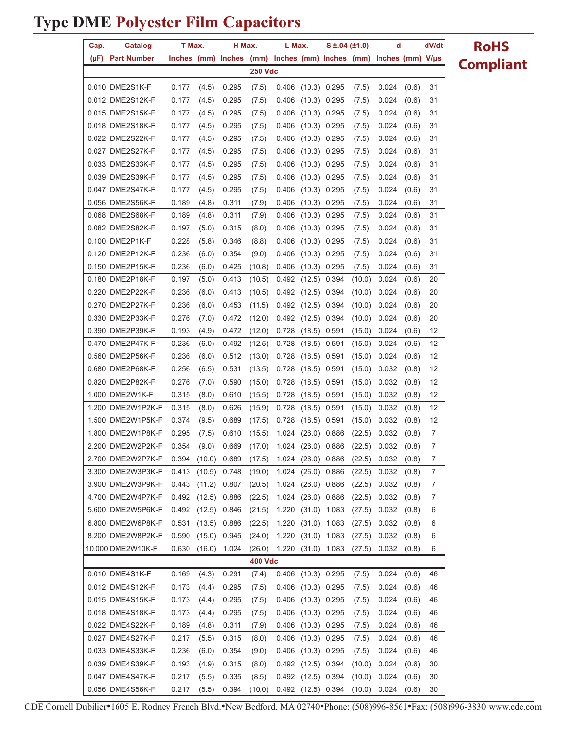| Cap. | Catalog                              | T Max.         |                |                                                                  | H Max.           | L Max.             |                                  | $S \pm 0.04$ (±1.0) |                  | d               |                | dV/dt    | <b>RoHS</b>      |
|------|--------------------------------------|----------------|----------------|------------------------------------------------------------------|------------------|--------------------|----------------------------------|---------------------|------------------|-----------------|----------------|----------|------------------|
| (µF) | <b>Part Number</b>                   |                |                | Inches (mm) Inches (mm) Inches (mm) Inches (mm) Inches (mm) V/µs |                  |                    |                                  |                     |                  |                 |                |          | <b>Compliant</b> |
|      |                                      |                |                |                                                                  | <b>250 Vdc</b>   |                    |                                  |                     |                  |                 |                |          |                  |
|      | 0.010 DME2S1K-F                      | 0.177          | (4.5)          | 0.295                                                            | (7.5)            |                    | 0.406 (10.3) 0.295               |                     | (7.5)            | 0.024           | (0.6)          | 31       |                  |
|      | 0.012 DME2S12K-F                     | 0.177          | (4.5)          | 0.295                                                            | (7.5)            |                    | 0.406 (10.3) 0.295               |                     | (7.5)            | 0.024           | (0.6)          | 31       |                  |
|      | 0.015 DME2S15K-F                     | 0.177          | (4.5)          | 0.295                                                            | (7.5)            |                    | 0.406 (10.3) 0.295               |                     | (7.5)            | 0.024           | (0.6)          | 31       |                  |
|      | 0.018 DME2S18K-F                     | 0.177          | (4.5)          | 0.295                                                            | (7.5)            | 0.406              | $(10.3)$ 0.295                   |                     | (7.5)            | 0.024           | (0.6)          | 31       |                  |
|      | 0.022 DME2S22K-F                     | 0.177          | (4.5)          | 0.295                                                            | (7.5)            |                    | 0.406 (10.3) 0.295               |                     | (7.5)            | 0.024           | (0.6)          | 31       |                  |
|      | 0.027 DME2S27K-F                     | 0.177          | (4.5)          | 0.295                                                            | (7.5)            |                    | 0.406 (10.3) 0.295               |                     | (7.5)            | 0.024           | (0.6)          | 31       |                  |
|      | 0.033 DME2S33K-F                     | 0.177          | (4.5)          | 0.295                                                            | (7.5)            |                    | 0.406 (10.3) 0.295               |                     | (7.5)            | 0.024           | (0.6)          | 31       |                  |
|      | 0.039 DME2S39K-F                     | 0.177          | (4.5)          | 0.295                                                            | (7.5)            |                    | 0.406 (10.3) 0.295               |                     | (7.5)            | 0.024           | (0.6)          | 31       |                  |
|      | 0.047 DME2S47K-F                     | 0.177          | (4.5)          | 0.295                                                            | (7.5)            |                    | 0.406 (10.3) 0.295               |                     | (7.5)            | 0.024           | (0.6)          | 31       |                  |
|      | 0.056 DME2S56K-F                     | 0.189          | (4.8)          | 0.311                                                            | (7.9)            |                    | 0.406 (10.3) 0.295               |                     | (7.5)            | 0.024           | (0.6)          | 31       |                  |
|      | 0.068 DME2S68K-F                     | 0.189          | (4.8)          | 0.311                                                            | (7.9)            |                    | 0.406 (10.3) 0.295               |                     | (7.5)            | 0.024           | (0.6)          | 31       |                  |
|      | 0.082 DME2S82K-F                     | 0.197          | (5.0)          | 0.315                                                            | (8.0)            |                    | 0.406 (10.3) 0.295               |                     | (7.5)            | 0.024           | (0.6)          | 31       |                  |
|      | 0.100 DME2P1K-F                      | 0.228          | (5.8)          | 0.346                                                            | (8.8)            |                    | 0.406 (10.3) 0.295               |                     | (7.5)            | 0.024           | (0.6)          | 31       |                  |
|      | 0.120 DME2P12K-F                     | 0.236          | (6.0)          | 0.354                                                            | (9.0)            |                    | 0.406 (10.3) 0.295               |                     | (7.5)            | 0.024           | (0.6)          | 31       |                  |
|      | 0.150 DME2P15K-F                     | 0.236          | (6.0)          | 0.425                                                            | (10.8)           |                    | 0.406 (10.3) 0.295               |                     | (7.5)            | 0.024           | (0.6)          | 31       |                  |
|      | 0.180 DME2P18K-F                     | 0.197          | (5.0)          | 0.413                                                            | (10.5)           |                    | 0.492 (12.5) 0.394               |                     | (10.0)           | 0.024           | (0.6)          | 20       |                  |
|      | 0.220 DME2P22K-F                     | 0.236          | (6.0)          | 0.413                                                            | (10.5)           |                    | 0.492 (12.5) 0.394               |                     | (10.0)           | 0.024           | (0.6)          | 20       |                  |
|      | 0.270 DME2P27K-F                     | 0.236          | (6.0)          | 0.453                                                            | (11.5)           |                    | $0.492$ (12.5) 0.394             |                     | (10.0)           | 0.024           | (0.6)          | 20       |                  |
|      | 0.330 DME2P33K-F                     | 0.276          | (7.0)          | 0.472                                                            | (12.0)           |                    | 0.492 (12.5) 0.394               |                     | (10.0)           | 0.024           | (0.6)          | 20       |                  |
|      | 0.390 DME2P39K-F                     | 0.193          | (4.9)          | 0.472                                                            | (12.0)           |                    | $0.728$ (18.5) 0.591             |                     | (15.0)           | 0.024           | (0.6)          | 12       |                  |
|      | 0.470 DME2P47K-F                     | 0.236          | (6.0)          | 0.492                                                            | (12.5)           | 0.728              | $(18.5)$ 0.591                   |                     | (15.0)           | 0.024           | (0.6)          | 12       |                  |
|      | 0.560 DME2P56K-F                     | 0.236          | (6.0)          | 0.512                                                            | (13.0)           |                    | 0.728 (18.5) 0.591               |                     | (15.0)           | 0.024           | (0.6)          | 12       |                  |
|      | 0.680 DME2P68K-F                     | 0.256          | (6.5)          | 0.531                                                            | (13.5)           |                    | 0.728 (18.5) 0.591               |                     | (15.0)           | 0.032           | (0.8)          | 12       |                  |
|      | 0.820 DME2P82K-F                     | 0.276          | (7.0)          | 0.590                                                            | (15.0)           |                    | 0.728 (18.5) 0.591               |                     | (15.0)           | 0.032           | (0.8)          | 12       |                  |
|      | 1.000 DME2W1K-F<br>1.200 DME2W1P2K-F | 0.315          | (8.0)          | 0.610                                                            | (15.5)           | 0.728              | $(18.5)$ 0.591                   |                     | (15.0)           | 0.032           | (0.8)          | 12       |                  |
|      | 1.500 DME2W1P5K-F                    | 0.315<br>0.374 | (8.0)<br>(9.5) | 0.626<br>0.689                                                   | (15.9)<br>(17.5) | 0.728<br>0.728     | $(18.5)$ 0.591<br>$(18.5)$ 0.591 |                     | (15.0)           | 0.032<br>0.032  | (0.8)          | 12<br>12 |                  |
|      | 1.800 DME2W1P8K-F                    | 0.295          | (7.5)          | 0.610                                                            | (15.5)           |                    | 1.024 (26.0) 0.886               |                     | (15.0)<br>(22.5) | 0.032           | (0.8)<br>(0.8) | 7        |                  |
|      | 2.200 DME2W2P2K-F                    | 0.354          | (9.0)          | 0.669                                                            | (17.0)           | 1.024 (26.0) 0.886 |                                  |                     | (22.5)           | $0.032$ $(0.8)$ |                | 7        |                  |
|      | 2.700 DME2W2P7K-F                    |                |                | 0.394 (10.0) 0.689                                               | (17.5)           |                    | 1.024 (26.0) 0.886               |                     |                  | $(22.5)$ 0.032  | (0.8)          | 7        |                  |
|      | 3.300 DME2W3P3K-F                    | 0.413          |                | $(10.5)$ 0.748                                                   | (19.0)           |                    | 1.024 (26.0) 0.886               |                     | (22.5)           | 0.032           | (0.8)          | 7        |                  |
|      | 3.900 DME2W3P9K-F                    | 0.443          |                | $(11.2)$ 0.807                                                   | (20.5)           |                    | 1.024 (26.0) 0.886               |                     | (22.5)           | 0.032           | (0.8)          | 7        |                  |
|      | 4.700 DME2W4P7K-F                    |                |                | 0.492 (12.5) 0.886                                               | (22.5)           |                    | 1.024 (26.0) 0.886               |                     | (22.5)           | 0.032           | (0.8)          | 7        |                  |
|      | 5.600 DME2W5P6K-F                    |                |                | $0.492$ $(12.5)$ $0.846$                                         | (21.5)           |                    | 1.220 (31.0) 1.083               |                     | (27.5)           | 0.032           | (0.8)          | 6        |                  |
|      | 6.800 DME2W6P8K-F                    | 0.531          | (13.5)         | 0.886                                                            | (22.5)           | 1.220              |                                  | $(31.0)$ 1.083      | (27.5)           | 0.032           | (0.8)          | 6        |                  |
|      | 8.200 DME2W8P2K-F                    | 0.590          | (15.0)         | 0.945                                                            | (24.0)           |                    | 1.220 (31.0) 1.083               |                     | (27.5)           | 0.032           | (0.8)          | 6        |                  |
|      | 10.000 DME2W10K-F                    | 0.630          |                | $(16.0)$ 1.024                                                   | (26.0)           |                    | 1.220 (31.0) 1.083               |                     | (27.5)           | 0.032           | (0.8)          | 6        |                  |
|      |                                      |                |                |                                                                  | 400 Vdc          |                    |                                  |                     |                  |                 |                |          |                  |
|      | 0.010 DME4S1K-F                      | 0.169          | (4.3)          | 0.291                                                            | (7.4)            |                    | 0.406 (10.3) 0.295               |                     | (7.5)            | 0.024           | (0.6)          | 46       |                  |
|      | 0.012 DME4S12K-F                     | 0.173          | (4.4)          | 0.295                                                            | (7.5)            |                    | 0.406 (10.3) 0.295               |                     | (7.5)            | 0.024           | (0.6)          | 46       |                  |
|      | 0.015 DME4S15K-F                     | 0.173          | (4.4)          | 0.295                                                            | (7.5)            |                    | 0.406 (10.3) 0.295               |                     | (7.5)            | 0.024           | (0.6)          | 46       |                  |
|      | 0.018 DME4S18K-F                     | 0.173          | (4.4)          | 0.295                                                            | (7.5)            |                    | 0.406 (10.3) 0.295               |                     | (7.5)            | 0.024           | (0.6)          | 46       |                  |
|      | 0.022 DME4S22K-F                     | 0.189          | (4.8)          | 0.311                                                            | (7.9)            |                    | 0.406 (10.3) 0.295               |                     | (7.5)            | 0.024           | (0.6)          | 46       |                  |
|      | 0.027 DME4S27K-F                     | 0.217          | (5.5)          | 0.315                                                            | (8.0)            |                    | 0.406 (10.3) 0.295               |                     | (7.5)            | 0.024           | (0.6)          | 46       |                  |
|      | 0.033 DME4S33K-F                     | 0.236          | (6.0)          | 0.354                                                            | (9.0)            |                    | 0.406 (10.3) 0.295               |                     | (7.5)            | 0.024           | (0.6)          | 46       |                  |
|      | 0.039 DME4S39K-F                     | 0.193          | (4.9)          | 0.315                                                            | (8.0)            |                    | 0.492 (12.5) 0.394               |                     | (10.0)           | 0.024           | (0.6)          | 30       |                  |
|      | 0.047 DME4S47K-F                     | 0.217          | (5.5)          | 0.335                                                            | (8.5)            |                    | 0.492 (12.5) 0.394               |                     | (10.0)           | 0.024           | (0.6)          | 30       |                  |
|      | 0.056 DME4S56K-F                     | 0.217          | (5.5)          | 0.394                                                            | (10.0)           |                    | 0.492 (12.5) 0.394               |                     | (10.0)           | 0.024           | (0.6)          | 30       |                  |

**RoHS**

CDE Cornell Dubilier•1605 E. Rodney French Blvd.•New Bedford, MA 02740•Phone: (508)996-8561•Fax: (508)996-3830 www.cde.com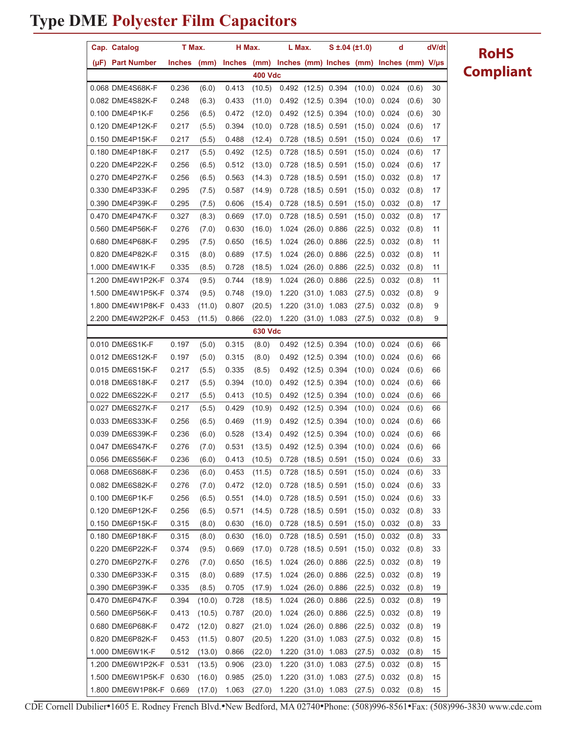|                | Cap. Catalog            | T Max.        |        | H Max.        |                | L Max. |                      | S ±.04 (±1.0)        |        | d                                             |       | dV/dt |
|----------------|-------------------------|---------------|--------|---------------|----------------|--------|----------------------|----------------------|--------|-----------------------------------------------|-------|-------|
|                | (µF) Part Number        | <b>Inches</b> | (mm)   | <b>Inches</b> | (mm)           |        |                      |                      |        | Inches (mm) Inches (mm) Inches (mm) $V/\mu s$ |       |       |
|                |                         |               |        |               | <b>400 Vdc</b> |        |                      |                      |        |                                               |       |       |
|                | 0.068 DME4S68K-F        | 0.236         | (6.0)  | 0.413         | (10.5)         |        |                      | $0.492$ (12.5) 0.394 | (10.0) | 0.024                                         | (0.6) | 30    |
|                | 0.082 DME4S82K-F        | 0.248         | (6.3)  | 0.433         | (11.0)         |        | 0.492 (12.5) 0.394   |                      | (10.0) | 0.024                                         | (0.6) | 30    |
|                | 0.100 DME4P1K-F         | 0.256         | (6.5)  | 0.472         | (12.0)         |        | 0.492 (12.5) 0.394   |                      | (10.0) | 0.024                                         | (0.6) | 30    |
|                | 0.120 DME4P12K-F        | 0.217         | (5.5)  | 0.394         | (10.0)         | 0.728  | $(18.5)$ 0.591       |                      | (15.0) | 0.024                                         | (0.6) | 17    |
|                | 0.150 DME4P15K-F        | 0.217         | (5.5)  | 0.488         | (12.4)         | 0.728  | (18.5)               | 0.591                | (15.0) | 0.024                                         | (0.6) | 17    |
|                | 0.180 DME4P18K-F        | 0.217         | (5.5)  | 0.492         | (12.5)         | 0.728  |                      | $(18.5)$ 0.591       | (15.0) | 0.024                                         | (0.6) | 17    |
|                | 0.220 DME4P22K-F        | 0.256         | (6.5)  | 0.512         | (13.0)         | 0.728  | $(18.5)$ 0.591       |                      | (15.0) | 0.024                                         | (0.6) | 17    |
|                | 0.270 DME4P27K-F        | 0.256         | (6.5)  | 0.563         | (14.3)         | 0.728  | $(18.5)$ 0.591       |                      | (15.0) | 0.032                                         | (0.8) | 17    |
|                | 0.330 DME4P33K-F        | 0.295         | (7.5)  | 0.587         | (14.9)         | 0.728  | $(18.5)$ 0.591       |                      | (15.0) | 0.032                                         | (0.8) | 17    |
|                | 0.390 DME4P39K-F        | 0.295         | (7.5)  | 0.606         | (15.4)         | 0.728  |                      | $(18.5)$ 0.591       | (15.0) | 0.032                                         | (0.8) | 17    |
|                | 0.470 DME4P47K-F        | 0.327         | (8.3)  | 0.669         | (17.0)         | 0.728  | $(18.5)$ 0.591       |                      | (15.0) | 0.032                                         | (0.8) | 17    |
|                | 0.560 DME4P56K-F        | 0.276         | (7.0)  | 0.630         | (16.0)         | 1.024  |                      | $(26.0)$ 0.886       | (22.5) | 0.032                                         | (0.8) | 11    |
|                | 0.680 DME4P68K-F        | 0.295         | (7.5)  | 0.650         | (16.5)         | 1.024  |                      | $(26.0)$ 0.886       | (22.5) | 0.032                                         | (0.8) | 11    |
|                | 0.820 DME4P82K-F        | 0.315         | (8.0)  | 0.689         | (17.5)         | 1.024  |                      | $(26.0)$ 0.886       | (22.5) | 0.032                                         | (0.8) | 11    |
|                | 1.000 DME4W1K-F         | 0.335         | (8.5)  | 0.728         | (18.5)         | 1.024  |                      | $(26.0)$ 0.886       | (22.5) | 0.032                                         | (0.8) | 11    |
|                | 1.200 DME4W1P2K-F 0.374 |               | (9.5)  | 0.744         | (18.9)         | 1.024  |                      | $(26.0)$ 0.886       | (22.5) | 0.032                                         | (0.8) | 11    |
|                | 1.500 DME4W1P5K-F       | 0.374         | (9.5)  | 0.748         | (19.0)         | 1.220  |                      | $(31.0)$ 1.083       | (27.5) | 0.032                                         | (0.8) | 9     |
|                | 1.800 DME4W1P8K-F       | 0.433         | (11.0) | 0.807         | (20.5)         | 1.220  | (31.0)               | 1.083                | (27.5) | 0.032                                         | (0.8) | 9     |
|                | 2.200 DME4W2P2K-F 0.453 |               | (11.5) | 0.866         | (22.0)         | 1.220  | $(31.0)$ 1.083       |                      | (27.5) | 0.032                                         | (0.8) | 9     |
| <b>630 Vdc</b> |                         |               |        |               |                |        |                      |                      |        |                                               |       |       |
|                | 0.010 DME6S1K-F         | 0.197         | (5.0)  | 0.315         | (8.0)          |        | 0.492 (12.5) 0.394   |                      | (10.0) | 0.024                                         | (0.6) | 66    |
|                | 0.012 DME6S12K-F        | 0.197         | (5.0)  | 0.315         | (8.0)          | 0.492  | $(12.5)$ 0.394       |                      | (10.0) | 0.024                                         | (0.6) | 66    |
|                | 0.015 DME6S15K-F        | 0.217         | (5.5)  | 0.335         | (8.5)          |        | 0.492 (12.5) 0.394   |                      | (10.0) | 0.024                                         | (0.6) | 66    |
|                | 0.018 DME6S18K-F        | 0.217         | (5.5)  | 0.394         | (10.0)         |        | 0.492 (12.5) 0.394   |                      | (10.0) | 0.024                                         | (0.6) | 66    |
|                | 0.022 DME6S22K-F        | 0.217         | (5.5)  | 0.413         | (10.5)         | 0.492  | $(12.5)$ 0.394       |                      | (10.0) | 0.024                                         | (0.6) | 66    |
|                | 0.027 DME6S27K-F        | 0.217         | (5.5)  | 0.429         | (10.9)         | 0.492  | $(12.5)$ 0.394       |                      | (10.0) | 0.024                                         | (0.6) | 66    |
|                | 0.033 DME6S33K-F        | 0.256         | (6.5)  | 0.469         | (11.9)         | 0.492  | $(12.5)$ 0.394       |                      | (10.0) | 0.024                                         | (0.6) | 66    |
|                | 0.039 DME6S39K-F        | 0.236         | (6.0)  | 0.528         | (13.4)         | 0.492  | $(12.5)$ 0.394       |                      | (10.0) | 0.024                                         | (0.6) | 66    |
|                | 0.047 DME6S47K-F        | 0.276         | (7.0)  | 0.531         | (13.5)         |        | 0.492 (12.5) 0.394   |                      | (10.0) | 0.024                                         | (0.6) | 66    |
|                | 0.056 DME6S56K-F        | 0.236         | (6.0)  | 0.413         | (10.5)         |        | 0.728 (18.5) 0.591   |                      |        | $(15.0)$ 0.024                                | (0.6) | 33    |
|                | 0.068 DME6S68K-F        | 0.236         | (6.0)  | 0.453         | (11.5)         |        | 0.728 (18.5) 0.591   |                      | (15.0) | 0.024                                         | (0.6) | 33    |
|                | 0.082 DME6S82K-F        | 0.276         | (7.0)  | 0.472         | (12.0)         |        | 0.728 (18.5) 0.591   |                      | (15.0) | 0.024                                         | (0.6) | 33    |
|                | 0.100 DME6P1K-F         | 0.256         | (6.5)  | 0.551         | (14.0)         |        | 0.728 (18.5) 0.591   |                      | (15.0) | 0.024                                         | (0.6) | 33    |
|                | 0.120 DME6P12K-F        | 0.256         | (6.5)  | 0.571         | (14.5)         |        | 0.728 (18.5) 0.591   |                      | (15.0) | 0.032                                         | (0.8) | 33    |
|                | 0.150 DME6P15K-F        | 0.315         | (8.0)  | 0.630         | (16.0)         |        | 0.728 (18.5) 0.591   |                      | (15.0) | 0.032                                         | (0.8) | 33    |
|                | 0.180 DME6P18K-F        | 0.315         | (8.0)  | 0.630         | (16.0)         |        | 0.728 (18.5) 0.591   |                      | (15.0) | 0.032                                         | (0.8) | 33    |
|                | 0.220 DME6P22K-F        | 0.374         | (9.5)  | 0.669         | (17.0)         |        | $0.728$ (18.5) 0.591 |                      | (15.0) | 0.032                                         | (0.8) | 33    |
|                | 0.270 DME6P27K-F        | 0.276         | (7.0)  | 0.650         | (16.5)         |        | 1.024 (26.0) 0.886   |                      | (22.5) | 0.032                                         | (0.8) | 19    |
|                | 0.330 DME6P33K-F        | 0.315         | (8.0)  | 0.689         | (17.5)         |        | 1.024 (26.0) 0.886   |                      | (22.5) | 0.032                                         | (0.8) | 19    |
|                | 0.390 DME6P39K-F        | 0.335         | (8.5)  | 0.705         | (17.9)         |        | 1.024 (26.0) 0.886   |                      | (22.5) | 0.032                                         | (0.8) | 19    |
|                | 0.470 DME6P47K-F        | 0.394         | (10.0) | 0.728         | (18.5)         |        | 1.024 (26.0) 0.886   |                      | (22.5) | 0.032                                         | (0.8) | 19    |
|                | 0.560 DME6P56K-F        | 0.413         | (10.5) | 0.787         | (20.0)         |        | 1.024 (26.0) 0.886   |                      | (22.5) | 0.032                                         | (0.8) | 19    |
|                | 0.680 DME6P68K-F        | 0.472         | (12.0) | 0.827         | (21.0)         |        |                      | 1.024 (26.0) 0.886   | (22.5) | 0.032                                         | (0.8) | 19    |
|                | 0.820 DME6P82K-F        | 0.453         | (11.5) | 0.807         | (20.5)         |        | 1.220 (31.0) 1.083   |                      | (27.5) | 0.032                                         | (0.8) | 15    |
|                | 1.000 DME6W1K-F         | 0.512         | (13.0) | 0.866         | (22.0)         |        | 1.220 (31.0) 1.083   |                      | (27.5) | 0.032                                         | (0.8) | 15    |
|                | 1.200 DME6W1P2K-F 0.531 |               | (13.5) | 0.906         | (23.0)         |        |                      | 1.220 (31.0) 1.083   | (27.5) | 0.032                                         | (0.8) | 15    |
|                | 1.500 DME6W1P5K-F 0.630 |               | (16.0) | 0.985         | (25.0)         |        |                      | 1.220 (31.0) 1.083   | (27.5) | 0.032                                         | (0.8) | 15    |
|                | 1.800 DME6W1P8K-F 0.669 |               | (17.0) | 1.063         | (27.0)         |        |                      | 1.220 (31.0) 1.083   | (27.5) | 0.032                                         | (0.8) | 15    |

**RoHS Compliant**

CDE Cornell Dubilier•1605 E. Rodney French Blvd.•New Bedford, MA 02740•Phone: (508)996-8561•Fax: (508)996-3830 www.cde.com